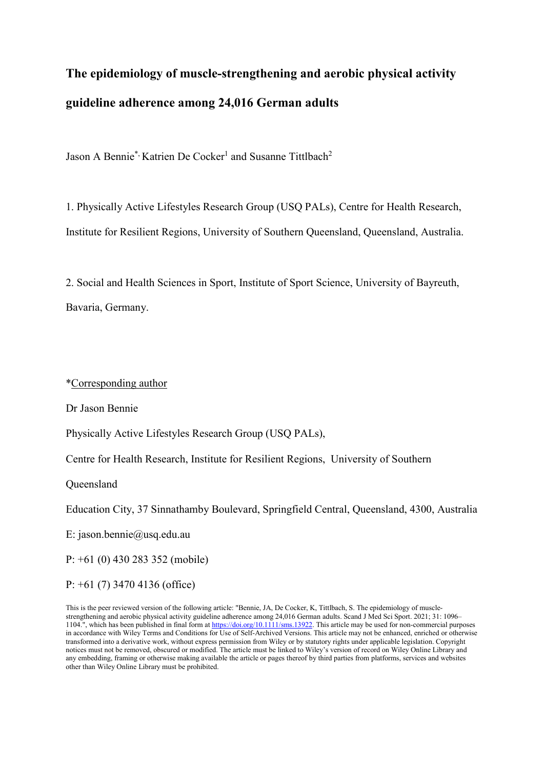# **The epidemiology of muscle-strengthening and aerobic physical activity guideline adherence among 24,016 German adults**

Jason A Bennie<sup>\*,</sup> Katrien De Cocker<sup>1</sup> and Susanne Tittlbach<sup>2</sup>

1. Physically Active Lifestyles Research Group (USQ PALs), Centre for Health Research, Institute for Resilient Regions, University of Southern Queensland, Queensland, Australia.

2. Social and Health Sciences in Sport, Institute of Sport Science, University of Bayreuth, Bavaria, Germany.

\*Corresponding author

Dr Jason Bennie

Physically Active Lifestyles Research Group (USQ PALs),

Centre for Health Research, Institute for Resilient Regions, University of Southern

Queensland

Education City, 37 Sinnathamby Boulevard, Springfield Central, Queensland, 4300, Australia

E: jason.bennie@usq.edu.au

P: +61 (0) 430 283 352 (mobile)

P: +61 (7) 3470 4136 (office)

This is the peer reviewed version of the following article: "Bennie, JA, De Cocker, K, Tittlbach, S. The epidemiology of musclestrengthening and aerobic physical activity guideline adherence among 24,016 German adults. Scand J Med Sci Sport. 2021; 31: 1096– 1104.", which has been published in final form a[t https://doi.org/10.1111/sms.13922.](https://doi.org/10.1111/sms.13922) This article may be used for non-commercial purposes in accordance with Wiley Terms and Conditions for Use of Self-Archived Versions. This article may not be enhanced, enriched or otherwise transformed into a derivative work, without express permission from Wiley or by statutory rights under applicable legislation. Copyright notices must not be removed, obscured or modified. The article must be linked to Wiley's version of record on Wiley Online Library and any embedding, framing or otherwise making available the article or pages thereof by third parties from platforms, services and websites other than Wiley Online Library must be prohibited.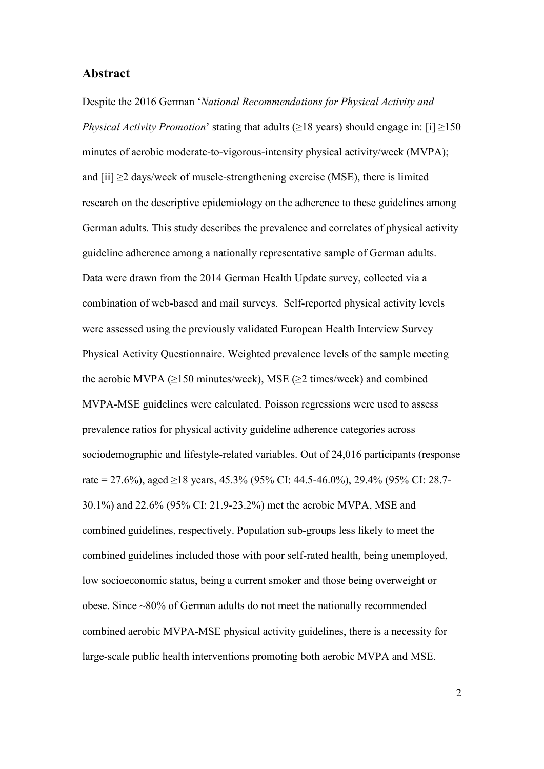#### **Abstract**

Despite the 2016 German '*National Recommendations for Physical Activity and Physical Activity Promotion*' stating that adults ( $\geq$ 18 years) should engage in: [i]  $\geq$ 150 minutes of aerobic moderate-to-vigorous-intensity physical activity/week (MVPA); and  $[i] \geq 2$  days/week of muscle-strengthening exercise (MSE), there is limited research on the descriptive epidemiology on the adherence to these guidelines among German adults. This study describes the prevalence and correlates of physical activity guideline adherence among a nationally representative sample of German adults. Data were drawn from the 2014 German Health Update survey, collected via a combination of web-based and mail surveys. Self-reported physical activity levels were assessed using the previously validated European Health Interview Survey Physical Activity Questionnaire. Weighted prevalence levels of the sample meeting the aerobic MVPA (≥150 minutes/week), MSE (≥2 times/week) and combined MVPA-MSE guidelines were calculated. Poisson regressions were used to assess prevalence ratios for physical activity guideline adherence categories across sociodemographic and lifestyle-related variables. Out of 24,016 participants (response rate = 27.6%), aged  $\geq$ 18 years, 45.3% (95% CI: 44.5-46.0%), 29.4% (95% CI: 28.7-30.1%) and 22.6% (95% CI: 21.9-23.2%) met the aerobic MVPA, MSE and combined guidelines, respectively. Population sub-groups less likely to meet the combined guidelines included those with poor self-rated health, being unemployed, low socioeconomic status, being a current smoker and those being overweight or obese. Since ~80% of German adults do not meet the nationally recommended combined aerobic MVPA-MSE physical activity guidelines, there is a necessity for large-scale public health interventions promoting both aerobic MVPA and MSE.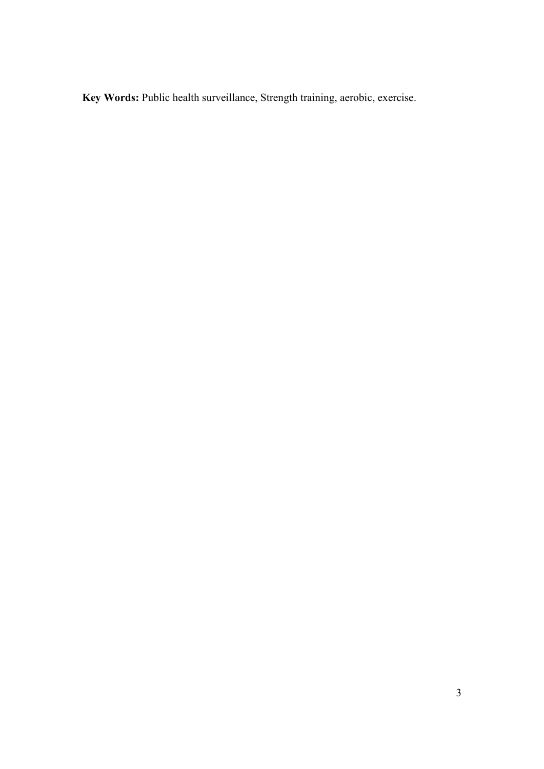Key Words: Public health surveillance, Strength training, aerobic, exercise.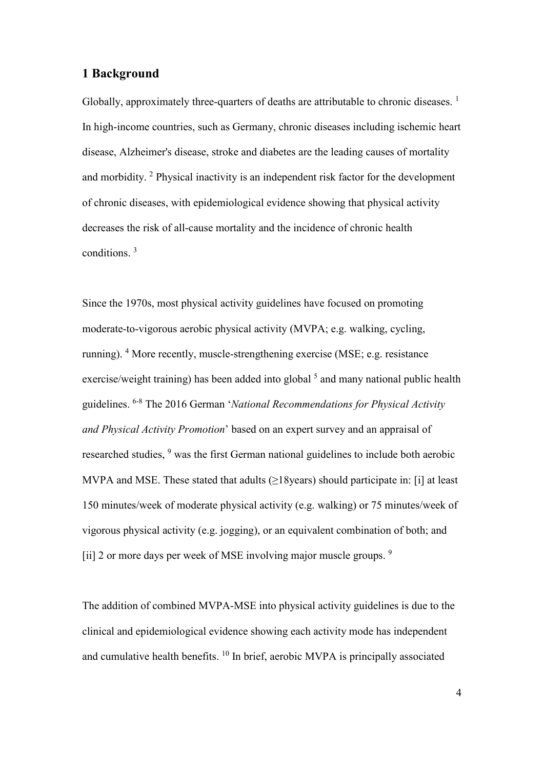# **1 Background**

Globally, approximately three-quarters of deaths are attributable to chronic diseases.  $<sup>1</sup>$ </sup> In high-income countries, such as Germany, chronic diseases including ischemic heart disease, Alzheimer's disease, stroke and diabetes are the leading causes of mortality and morbidity. <sup>2</sup> Physical inactivity is an independent risk factor for the development of chronic diseases, with epidemiological evidence showing that physical activity decreases the risk of all-cause mortality and the incidence of chronic health conditions. <sup>3</sup>

Since the 1970s, most physical activity guidelines have focused on promoting moderate-to-vigorous aerobic physical activity (MVPA; e.g. walking, cycling, running). <sup>4</sup> More recently, muscle-strengthening exercise (MSE; e.g. resistance exercise/weight training) has been added into global  $<sup>5</sup>$  and many national public health</sup> guidelines. 6-8 The 2016 German '*National Recommendations for Physical Activity and Physical Activity Promotion*' based on an expert survey and an appraisal of researched studies, <sup>9</sup> was the first German national guidelines to include both aerobic MVPA and MSE. These stated that adults  $(≥18$ years) should participate in: [i] at least 150 minutes/week of moderate physical activity (e.g. walking) or 75 minutes/week of vigorous physical activity (e.g. jogging), or an equivalent combination of both; and [ii] 2 or more days per week of MSE involving major muscle groups. <sup>9</sup>

The addition of combined MVPA-MSE into physical activity guidelines is due to the clinical and epidemiological evidence showing each activity mode has independent and cumulative health benefits. <sup>10</sup> In brief, aerobic MVPA is principally associated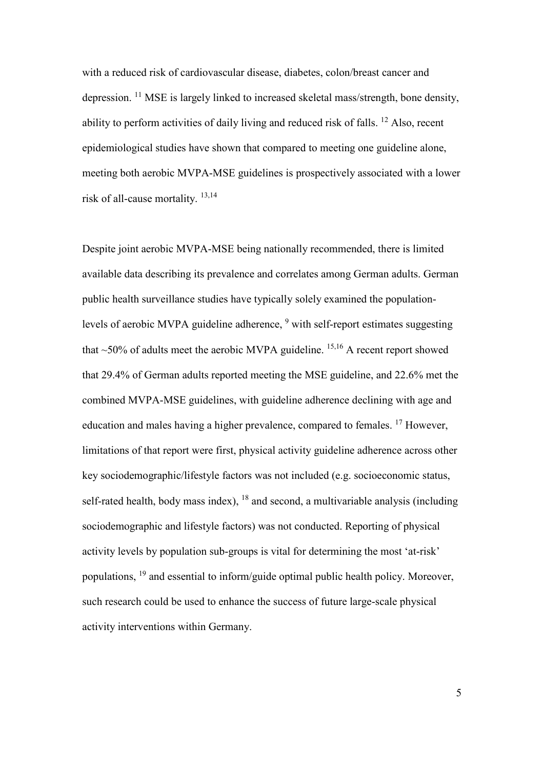with a reduced risk of cardiovascular disease, diabetes, colon/breast cancer and depression. <sup>11</sup> MSE is largely linked to increased skeletal mass/strength, bone density, ability to perform activities of daily living and reduced risk of falls. <sup>12</sup> Also, recent epidemiological studies have shown that compared to meeting one guideline alone, meeting both aerobic MVPA-MSE guidelines is prospectively associated with a lower risk of all-cause mortality. 13,14

Despite joint aerobic MVPA-MSE being nationally recommended, there is limited available data describing its prevalence and correlates among German adults. German public health surveillance studies have typically solely examined the populationlevels of aerobic MVPA guideline adherence, <sup>9</sup> with self-report estimates suggesting that  $\sim$  50% of adults meet the aerobic MVPA guideline. <sup>15,16</sup> A recent report showed that 29.4% of German adults reported meeting the MSE guideline, and 22.6% met the combined MVPA-MSE guidelines, with guideline adherence declining with age and education and males having a higher prevalence, compared to females. <sup>17</sup> However, limitations of that report were first, physical activity guideline adherence across other key sociodemographic/lifestyle factors was not included (e.g. socioeconomic status, self-rated health, body mass index),  $^{18}$  and second, a multivariable analysis (including sociodemographic and lifestyle factors) was not conducted. Reporting of physical activity levels by population sub-groups is vital for determining the most 'at-risk' populations, <sup>19</sup> and essential to inform/guide optimal public health policy. Moreover, such research could be used to enhance the success of future large-scale physical activity interventions within Germany.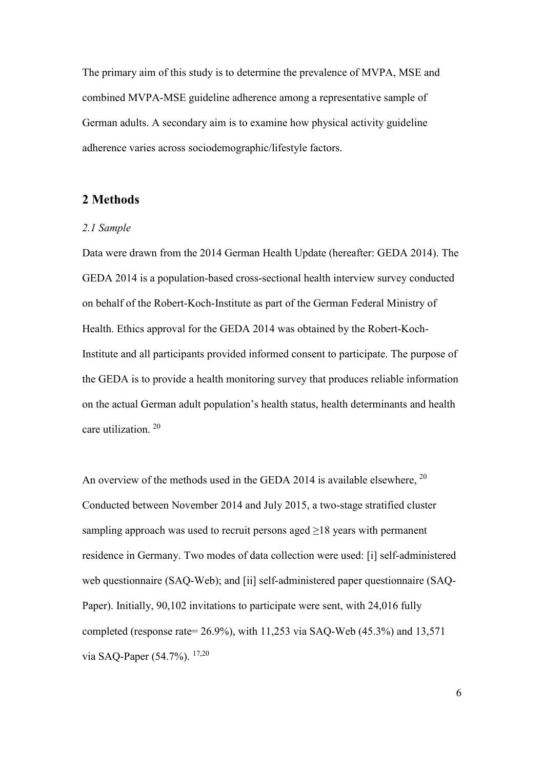The primary aim of this study is to determine the prevalence of MVPA, MSE and combined MVPA-MSE guideline adherence among a representative sample of German adults. A secondary aim is to examine how physical activity guideline adherence varies across sociodemographic/lifestyle factors.

# **2 Methods**

#### *2.1 Sample*

Data were drawn from the 2014 German Health Update (hereafter: GEDA 2014). The GEDA 2014 is a population-based cross-sectional health interview survey conducted on behalf of the Robert-Koch-Institute as part of the German Federal Ministry of Health. Ethics approval for the GEDA 2014 was obtained by the Robert-Koch-Institute and all participants provided informed consent to participate. The purpose of the GEDA is to provide a health monitoring survey that produces reliable information on the actual German adult population's health status, health determinants and health care utilization. <sup>20</sup>

An overview of the methods used in the GEDA 2014 is available elsewhere.<sup>20</sup> Conducted between November 2014 and July 2015, a two-stage stratified cluster sampling approach was used to recruit persons aged  $\geq$ 18 years with permanent residence in Germany. Two modes of data collection were used: [i] self-administered web questionnaire (SAQ-Web); and [ii] self-administered paper questionnaire (SAQ-Paper). Initially, 90,102 invitations to participate were sent, with 24,016 fully completed (response rate=  $26.9\%$ ), with 11,253 via SAQ-Web (45.3%) and 13,571 via SAQ-Paper (54.7%). 17,20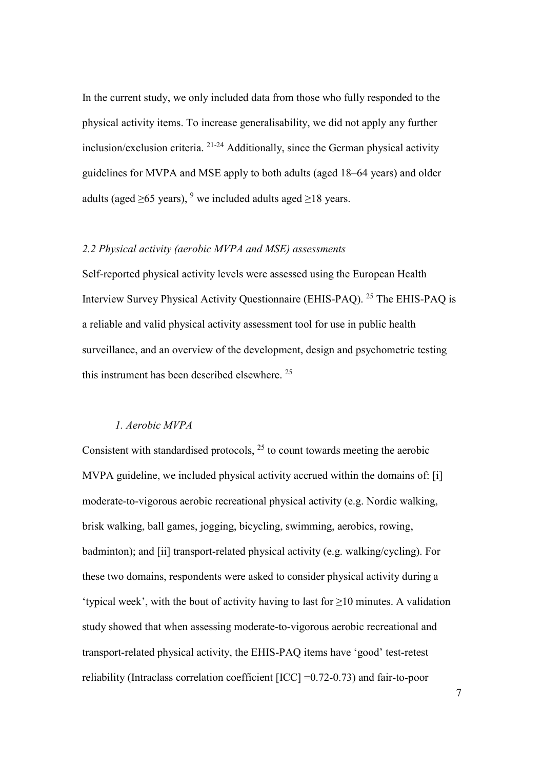In the current study, we only included data from those who fully responded to the physical activity items. To increase generalisability, we did not apply any further inclusion/exclusion criteria. 21-24 Additionally, since the German physical activity guidelines for MVPA and MSE apply to both adults (aged 18–64 years) and older adults (aged  $>65$  years), <sup>9</sup> we included adults aged  $>18$  years.

#### *2.2 Physical activity (aerobic MVPA and MSE) assessments*

Self-reported physical activity levels were assessed using the European Health Interview Survey Physical Activity Questionnaire (EHIS-PAQ). <sup>25</sup> The EHIS-PAQ is a reliable and valid physical activity assessment tool for use in public health surveillance, and an overview of the development, design and psychometric testing this instrument has been described elsewhere. <sup>25</sup>

#### *1. Aerobic MVPA*

Consistent with standardised protocols,  $2<sup>5</sup>$  to count towards meeting the aerobic MVPA guideline, we included physical activity accrued within the domains of: [i] moderate-to-vigorous aerobic recreational physical activity (e.g. Nordic walking, brisk walking, ball games, jogging, bicycling, swimming, aerobics, rowing, badminton); and [ii] transport-related physical activity (e.g. walking/cycling). For these two domains, respondents were asked to consider physical activity during a 'typical week', with the bout of activity having to last for  $\geq 10$  minutes. A validation study showed that when assessing moderate-to-vigorous aerobic recreational and transport-related physical activity, the EHIS-PAQ items have 'good' test-retest reliability (Intraclass correlation coefficient [ICC] =0.72-0.73) and fair-to-poor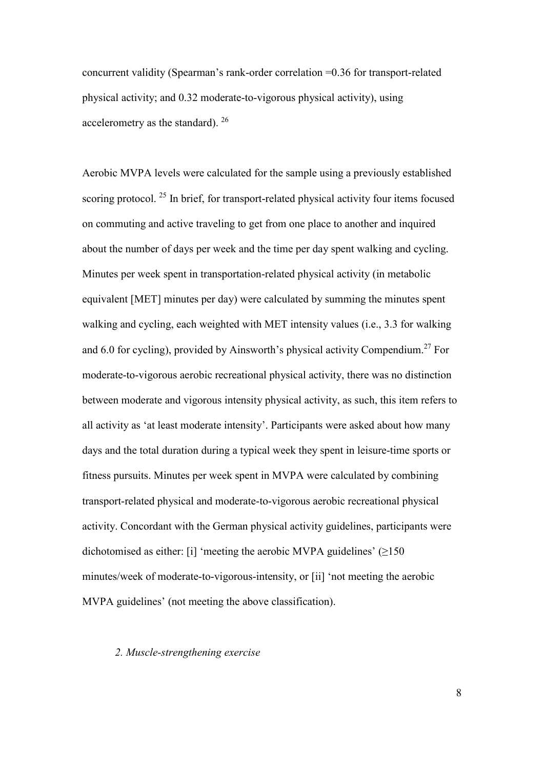concurrent validity (Spearman's rank-order correlation =0.36 for transport-related physical activity; and 0.32 moderate-to-vigorous physical activity), using accelerometry as the standard). 26

Aerobic MVPA levels were calculated for the sample using a previously established scoring protocol. <sup>25</sup> In brief, for transport-related physical activity four items focused on commuting and active traveling to get from one place to another and inquired about the number of days per week and the time per day spent walking and cycling. Minutes per week spent in transportation-related physical activity (in metabolic equivalent [MET] minutes per day) were calculated by summing the minutes spent walking and cycling, each weighted with MET intensity values (i.e., 3.3 for walking and 6.0 for cycling), provided by Ainsworth's physical activity Compendium. <sup>27</sup> For moderate-to-vigorous aerobic recreational physical activity, there was no distinction between moderate and vigorous intensity physical activity, as such, this item refers to all activity as 'at least moderate intensity'. Participants were asked about how many days and the total duration during a typical week they spent in leisure-time sports or fitness pursuits. Minutes per week spent in MVPA were calculated by combining transport-related physical and moderate-to-vigorous aerobic recreational physical activity. Concordant with the German physical activity guidelines, participants were dichotomised as either: [i] 'meeting the aerobic MVPA guidelines' (≥150 minutes/week of moderate-to-vigorous-intensity, or [ii] 'not meeting the aerobic MVPA guidelines' (not meeting the above classification).

#### *2. Muscle-strengthening exercise*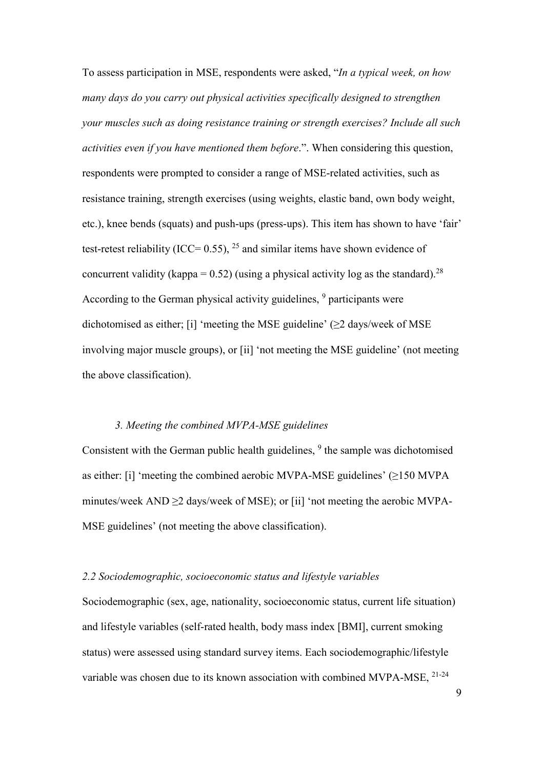To assess participation in MSE, respondents were asked, "*In a typical week, on how many days do you carry out physical activities specifically designed to strengthen your muscles such as doing resistance training or strength exercises? Include all such activities even if you have mentioned them before*.". When considering this question, respondents were prompted to consider a range of MSE-related activities, such as resistance training, strength exercises (using weights, elastic band, own body weight, etc.), knee bends (squats) and push-ups (press-ups). This item has shown to have 'fair' test-retest reliability (ICC=  $0.55$ ), <sup>25</sup> and similar items have shown evidence of concurrent validity (kappa =  $0.52$ ) (using a physical activity log as the standard).<sup>28</sup> According to the German physical activity guidelines, <sup>9</sup> participants were dichotomised as either; [i] 'meeting the MSE guideline'  $(\geq 2$  days/week of MSE involving major muscle groups), or [ii] 'not meeting the MSE guideline' (not meeting the above classification).

#### *3. Meeting the combined MVPA-MSE guidelines*

Consistent with the German public health guidelines, <sup>9</sup> the sample was dichotomised as either: [i] 'meeting the combined aerobic MVPA-MSE guidelines'  $(\geq 150$  MVPA minutes/week AND ≥2 days/week of MSE); or [ii] 'not meeting the aerobic MVPA-MSE guidelines' (not meeting the above classification).

#### *2.2 Sociodemographic, socioeconomic status and lifestyle variables*

Sociodemographic (sex, age, nationality, socioeconomic status, current life situation) and lifestyle variables (self-rated health, body mass index [BMI], current smoking status) were assessed using standard survey items. Each sociodemographic/lifestyle variable was chosen due to its known association with combined MVPA-MSE, 21-24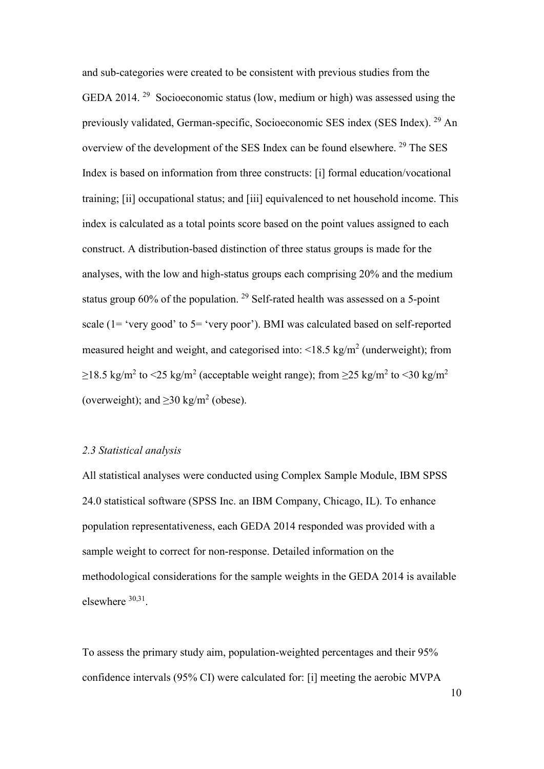and sub-categories were created to be consistent with previous studies from the GEDA 2014. <sup>29</sup> Socioeconomic status (low, medium or high) was assessed using the previously validated, German-specific, Socioeconomic SES index (SES Index). <sup>29</sup> An overview of the development of the SES Index can be found elsewhere. <sup>29</sup> The SES Index is based on information from three constructs: [i] formal education/vocational training; [ii] occupational status; and [iii] equivalenced to net household income. This index is calculated as a total points score based on the point values assigned to each construct. A distribution-based distinction of three status groups is made for the analyses, with the low and high-status groups each comprising 20% and the medium status group 60% of the population. <sup>29</sup> Self-rated health was assessed on a 5-point scale (1= 'very good' to 5= 'very poor'). BMI was calculated based on self-reported measured height and weight, and categorised into:  $\langle 18.5 \text{ kg/m}^2 \text{ (underweight)} \rangle$ ; from  $\geq$ 18.5 kg/m<sup>2</sup> to <25 kg/m<sup>2</sup> (acceptable weight range); from  $\geq$ 25 kg/m<sup>2</sup> to <30 kg/m<sup>2</sup> (overweight); and  $\geq$ 30 kg/m<sup>2</sup> (obese).

#### *2.3 Statistical analysis*

All statistical analyses were conducted using Complex Sample Module, IBM SPSS 24.0 statistical software (SPSS Inc. an IBM Company, Chicago, IL). To enhance population representativeness, each GEDA 2014 responded was provided with a sample weight to correct for non-response. Detailed information on the methodological considerations for the sample weights in the GEDA 2014 is available elsewhere 30,31.

To assess the primary study aim, population-weighted percentages and their 95% confidence intervals (95% CI) were calculated for: [i] meeting the aerobic MVPA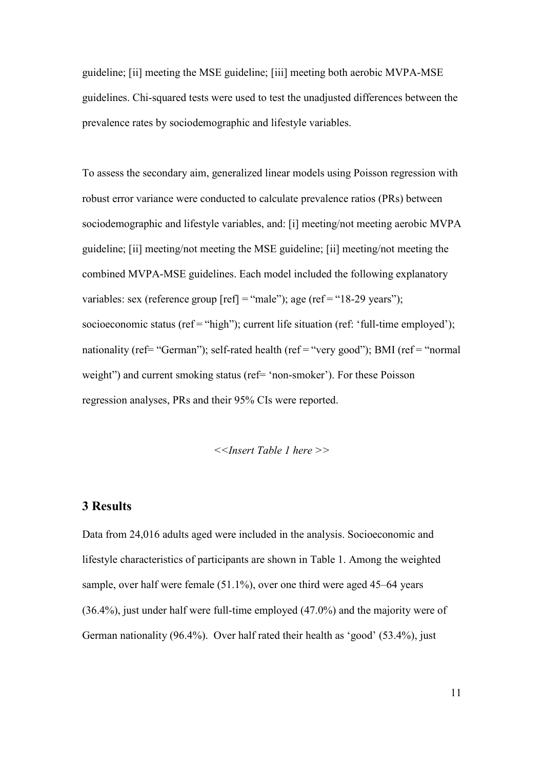guideline; [ii] meeting the MSE guideline; [iii] meeting both aerobic MVPA-MSE guidelines. Chi-squared tests were used to test the unadjusted differences between the prevalence rates by sociodemographic and lifestyle variables.

To assess the secondary aim, generalized linear models using Poisson regression with robust error variance were conducted to calculate prevalence ratios (PRs) between sociodemographic and lifestyle variables, and: [i] meeting/not meeting aerobic MVPA guideline; [ii] meeting/not meeting the MSE guideline; [ii] meeting/not meeting the combined MVPA-MSE guidelines. Each model included the following explanatory variables: sex (reference group  $[ref] = "male"$ ); age (ref= $"18-29$  years"); socioeconomic status (ref = "high"); current life situation (ref: 'full-time employed'); nationality (ref= "German"); self-rated health (ref = "very good"); BMI (ref = "normal weight") and current smoking status (ref= 'non-smoker'). For these Poisson regression analyses, PRs and their 95% CIs were reported.

*<<Insert Table 1 here >>*

# **3 Results**

Data from 24,016 adults aged were included in the analysis. Socioeconomic and lifestyle characteristics of participants are shown in Table 1. Among the weighted sample, over half were female (51.1%), over one third were aged 45–64 years (36.4%), just under half were full-time employed (47.0%) and the majority were of German nationality (96.4%). Over half rated their health as 'good' (53.4%), just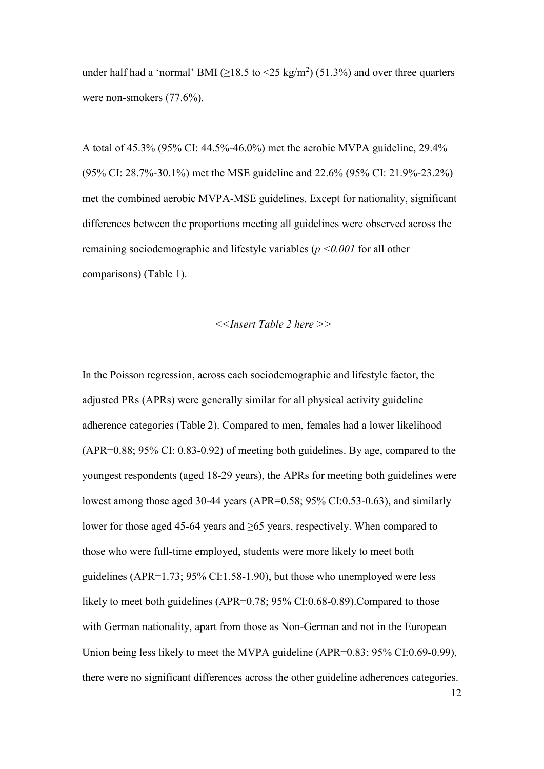under half had a 'normal' BMI ( $\geq$ 18.5 to <25 kg/m<sup>2</sup>) (51.3%) and over three quarters were non-smokers (77.6%).

A total of 45.3% (95% CI: 44.5%-46.0%) met the aerobic MVPA guideline, 29.4% (95% CI: 28.7%-30.1%) met the MSE guideline and 22.6% (95% CI: 21.9%-23.2%) met the combined aerobic MVPA-MSE guidelines. Except for nationality, significant differences between the proportions meeting all guidelines were observed across the remaining sociodemographic and lifestyle variables (*p <0.001* for all other comparisons) (Table 1).

$$
\leq
$$

In the Poisson regression, across each sociodemographic and lifestyle factor, the adjusted PRs (APRs) were generally similar for all physical activity guideline adherence categories (Table 2). Compared to men, females had a lower likelihood (APR=0.88; 95% CI: 0.83-0.92) of meeting both guidelines. By age, compared to the youngest respondents (aged 18-29 years), the APRs for meeting both guidelines were lowest among those aged 30-44 years (APR=0.58; 95% CI:0.53-0.63), and similarly lower for those aged 45-64 years and ≥65 years, respectively. When compared to those who were full-time employed, students were more likely to meet both guidelines (APR=1.73; 95% CI:1.58-1.90), but those who unemployed were less likely to meet both guidelines (APR=0.78; 95% CI:0.68-0.89). Compared to those with German nationality, apart from those as Non-German and not in the European Union being less likely to meet the MVPA guideline (APR=0.83; 95% CI:0.69-0.99), there were no significant differences across the other guideline adherences categories.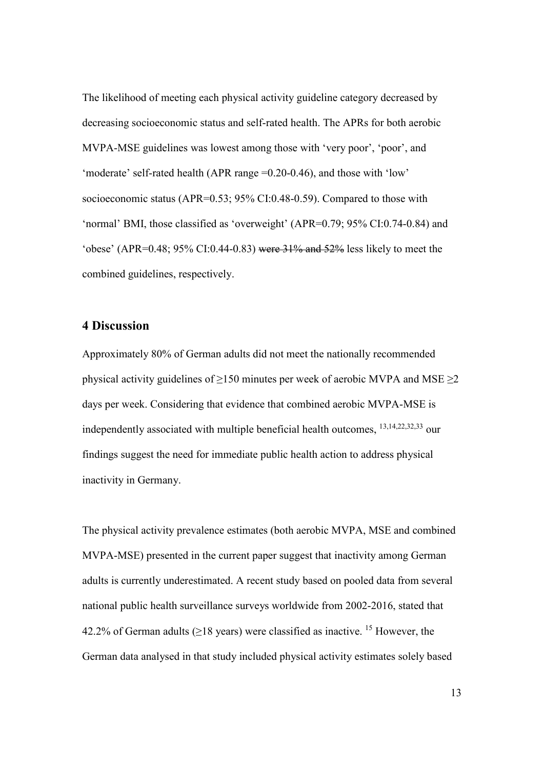The likelihood of meeting each physical activity guideline category decreased by decreasing socioeconomic status and self-rated health. The APRs for both aerobic MVPA-MSE guidelines was lowest among those with 'very poor', 'poor', and 'moderate' self-rated health (APR range =0.20-0.46), and those with 'low' socioeconomic status (APR=0.53; 95% CI:0.48-0.59). Compared to those with 'normal' BMI, those classified as 'overweight' (APR=0.79; 95% CI:0.74-0.84) and 'obese' (APR=0.48;  $95\%$  CI:0.44-0.83) were  $31\%$  and  $52\%$  less likely to meet the combined guidelines, respectively.

# **4 Discussion**

Approximately 80% of German adults did not meet the nationally recommended physical activity guidelines of  $\geq$ 150 minutes per week of aerobic MVPA and MSE  $\geq$ 2 days per week. Considering that evidence that combined aerobic MVPA-MSE is independently associated with multiple beneficial health outcomes, 13,14,22,32,33 our findings suggest the need for immediate public health action to address physical inactivity in Germany.

The physical activity prevalence estimates (both aerobic MVPA, MSE and combined MVPA-MSE) presented in the current paper suggest that inactivity among German adults is currently underestimated. A recent study based on pooled data from several national public health surveillance surveys worldwide from 2002-2016, stated that 42.2% of German adults ( $\geq$ 18 years) were classified as inactive. <sup>15</sup> However, the German data analysed in that study included physical activity estimates solely based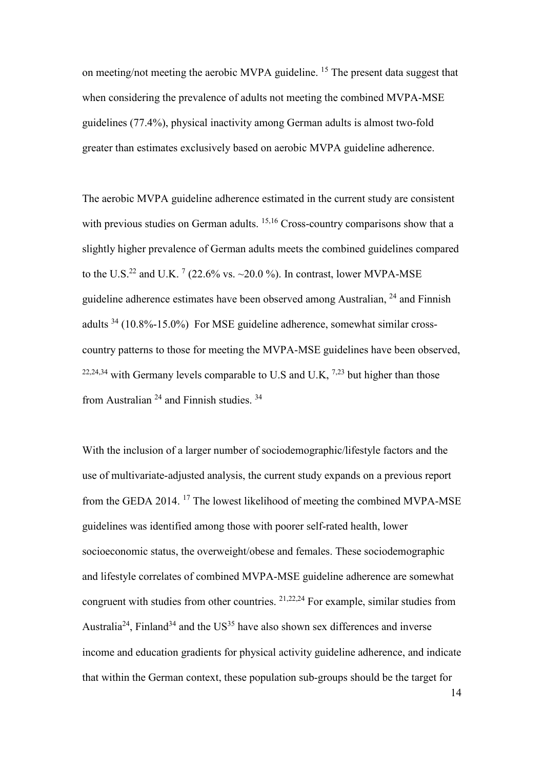on meeting/not meeting the aerobic MVPA guideline. <sup>15</sup> The present data suggest that when considering the prevalence of adults not meeting the combined MVPA-MSE guidelines (77.4%), physical inactivity among German adults is almost two-fold greater than estimates exclusively based on aerobic MVPA guideline adherence.

The aerobic MVPA guideline adherence estimated in the current study are consistent with previous studies on German adults. <sup>15,16</sup> Cross-country comparisons show that a slightly higher prevalence of German adults meets the combined guidelines compared to the U.S.<sup>22</sup> and U.K. <sup>7</sup> (22.6% vs. ~20.0 %). In contrast, lower MVPA-MSE guideline adherence estimates have been observed among Australian, <sup>24</sup> and Finnish adults 34 (10.8%-15.0%) For MSE guideline adherence, somewhat similar crosscountry patterns to those for meeting the MVPA-MSE guidelines have been observed, <sup>22,24,34</sup> with Germany levels comparable to U.S and U.K, <sup>7,23</sup> but higher than those from Australian <sup>24</sup> and Finnish studies. <sup>34</sup>

With the inclusion of a larger number of sociodemographic/lifestyle factors and the use of multivariate-adjusted analysis, the current study expands on a previous report from the GEDA 2014. <sup>17</sup> The lowest likelihood of meeting the combined MVPA-MSE guidelines was identified among those with poorer self-rated health, lower socioeconomic status, the overweight/obese and females. These sociodemographic and lifestyle correlates of combined MVPA-MSE guideline adherence are somewhat congruent with studies from other countries. 21,22,24 For example, similar studies from Australia<sup>24</sup>, Finland<sup>34</sup> and the US<sup>35</sup> have also shown sex differences and inverse income and education gradients for physical activity guideline adherence, and indicate that within the German context, these population sub-groups should be the target for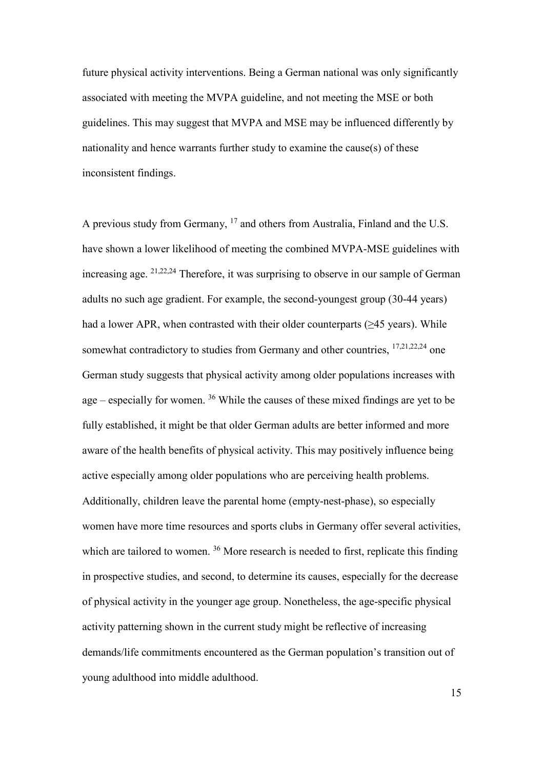future physical activity interventions. Being a German national was only significantly associated with meeting the MVPA guideline, and not meeting the MSE or both guidelines. This may suggest that MVPA and MSE may be influenced differently by nationality and hence warrants further study to examine the cause(s) of these inconsistent findings.

A previous study from Germany, <sup>17</sup> and others from Australia, Finland and the U.S. have shown a lower likelihood of meeting the combined MVPA-MSE guidelines with increasing age. 21,22,24 Therefore, it was surprising to observe in our sample of German adults no such age gradient. For example, the second-youngest group (30-44 years) had a lower APR, when contrasted with their older counterparts ( $\geq$ 45 years). While somewhat contradictory to studies from Germany and other countries,  $17,21,22,24$  one German study suggests that physical activity among older populations increases with age  $-$  especially for women. <sup>36</sup> While the causes of these mixed findings are yet to be fully established, it might be that older German adults are better informed and more aware of the health benefits of physical activity. This may positively influence being active especially among older populations who are perceiving health problems. Additionally, children leave the parental home (empty-nest-phase), so especially women have more time resources and sports clubs in Germany offer several activities, which are tailored to women.<sup>36</sup> More research is needed to first, replicate this finding in prospective studies, and second, to determine its causes, especially for the decrease of physical activity in the younger age group. Nonetheless, the age-specific physical activity patterning shown in the current study might be reflective of increasing demands/life commitments encountered as the German population's transition out of young adulthood into middle adulthood.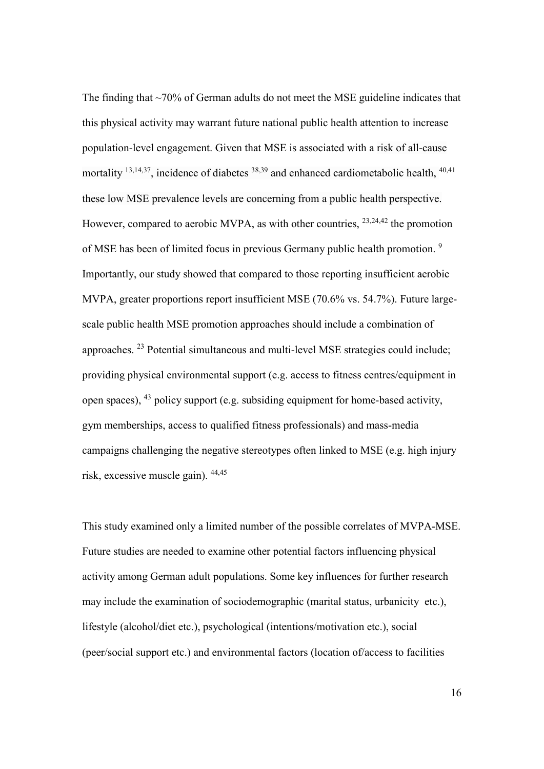The finding that ~70% of German adults do not meet the MSE guideline indicates that this physical activity may warrant future national public health attention to increase population-level engagement. Given that MSE is associated with a risk of all-cause mortality  $^{13,14,37}$ , incidence of diabetes  $^{38,39}$  and enhanced cardiometabolic health,  $^{40,41}$ these low MSE prevalence levels are concerning from a public health perspective. However, compared to aerobic MVPA, as with other countries,  $^{23,24,42}$  the promotion of MSE has been of limited focus in previous Germany public health promotion. <sup>9</sup> Importantly, our study showed that compared to those reporting insufficient aerobic MVPA, greater proportions report insufficient MSE (70.6% vs. 54.7%). Future largescale public health MSE promotion approaches should include a combination of approaches. <sup>23</sup> Potential simultaneous and multi-level MSE strategies could include; providing physical environmental support (e.g. access to fitness centres/equipment in open spaces), 43 policy support (e.g. subsiding equipment for home-based activity, gym memberships, access to qualified fitness professionals) and mass-media campaigns challenging the negative stereotypes often linked to MSE (e.g. high injury risk, excessive muscle gain). 44,45

This study examined only a limited number of the possible correlates of MVPA-MSE. Future studies are needed to examine other potential factors influencing physical activity among German adult populations. Some key influences for further research may include the examination of sociodemographic (marital status, urbanicity etc.), lifestyle (alcohol/diet etc.), psychological (intentions/motivation etc.), social (peer/social support etc.) and environmental factors (location of/access to facilities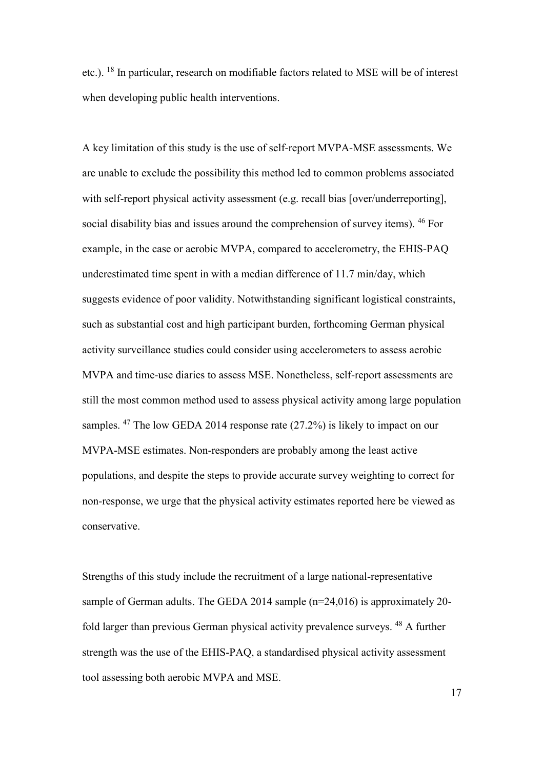etc.). <sup>18</sup> In particular, research on modifiable factors related to MSE will be of interest when developing public health interventions.

A key limitation of this study is the use of self-report MVPA-MSE assessments. We are unable to exclude the possibility this method led to common problems associated with self-report physical activity assessment (e.g. recall bias [over/underreporting], social disability bias and issues around the comprehension of survey items). <sup>46</sup> For example, in the case or aerobic MVPA, compared to accelerometry, the EHIS-PAQ underestimated time spent in with a median difference of 11.7 min/day, which suggests evidence of poor validity. Notwithstanding significant logistical constraints, such as substantial cost and high participant burden, forthcoming German physical activity surveillance studies could consider using accelerometers to assess aerobic MVPA and time-use diaries to assess MSE. Nonetheless, self-report assessments are still the most common method used to assess physical activity among large population samples. <sup>47</sup> The low GEDA 2014 response rate (27.2%) is likely to impact on our MVPA-MSE estimates. Non-responders are probably among the least active populations, and despite the steps to provide accurate survey weighting to correct for non-response, we urge that the physical activity estimates reported here be viewed as conservative.

Strengths of this study include the recruitment of a large national-representative sample of German adults. The GEDA 2014 sample (n=24,016) is approximately 20 fold larger than previous German physical activity prevalence surveys. <sup>48</sup> A further strength was the use of the EHIS-PAQ, a standardised physical activity assessment tool assessing both aerobic MVPA and MSE.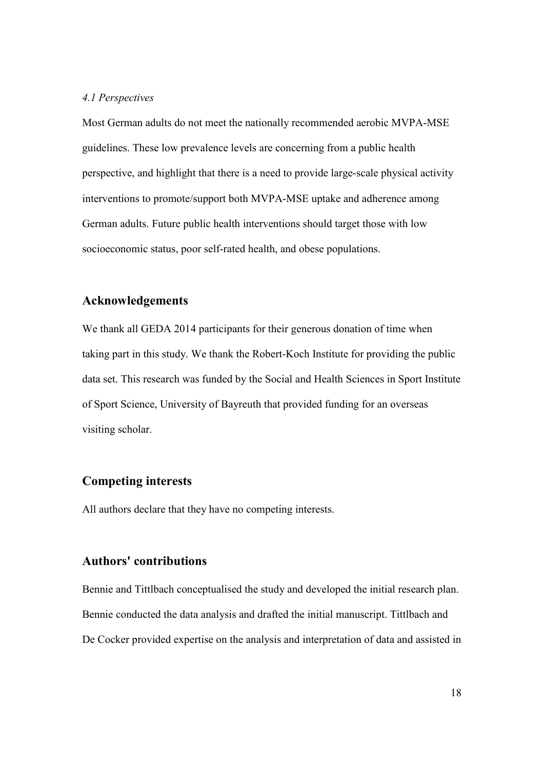#### *4.1 Perspectives*

Most German adults do not meet the nationally recommended aerobic MVPA-MSE guidelines. These low prevalence levels are concerning from a public health perspective, and highlight that there is a need to provide large-scale physical activity interventions to promote/support both MVPA-MSE uptake and adherence among German adults. Future public health interventions should target those with low socioeconomic status, poor self-rated health, and obese populations.

## **Acknowledgements**

We thank all GEDA 2014 participants for their generous donation of time when taking part in this study. We thank the Robert-Koch Institute for providing the public data set. This research was funded by the Social and Health Sciences in Sport Institute of Sport Science, University of Bayreuth that provided funding for an overseas visiting scholar.

## **Competing interests**

All authors declare that they have no competing interests.

# **Authors' contributions**

Bennie and Tittlbach conceptualised the study and developed the initial research plan. Bennie conducted the data analysis and drafted the initial manuscript. Tittlbach and De Cocker provided expertise on the analysis and interpretation of data and assisted in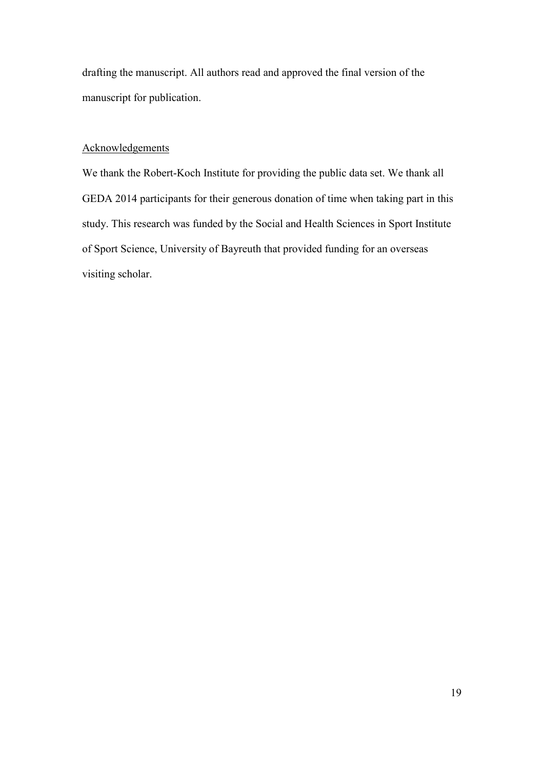drafting the manuscript. All authors read and approved the final version of the manuscript for publication.

#### **Acknowledgements**

We thank the Robert-Koch Institute for providing the public data set. We thank all GEDA 2014 participants for their generous donation of time when taking part in this study. This research was funded by the Social and Health Sciences in Sport Institute of Sport Science, University of Bayreuth that provided funding for an overseas visiting scholar.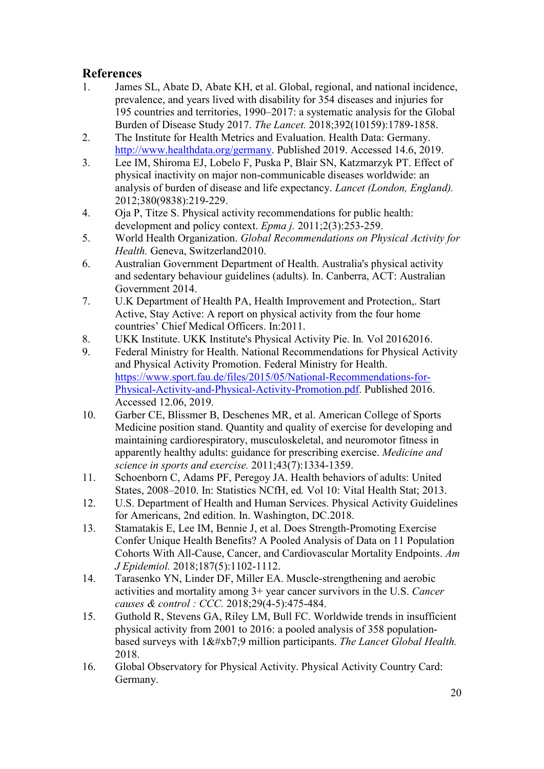# **References**

- 1. James SL, Abate D, Abate KH, et al. Global, regional, and national incidence, prevalence, and years lived with disability for 354 diseases and injuries for 195 countries and territories, 1990–2017: a systematic analysis for the Global Burden of Disease Study 2017. *The Lancet.* 2018;392(10159):1789-1858.
- 2. The Institute for Health Metrics and Evaluation. Health Data: Germany. [http://www.healthdata.org/germany.](http://www.healthdata.org/germany) Published 2019. Accessed 14.6, 2019.
- 3. Lee IM, Shiroma EJ, Lobelo F, Puska P, Blair SN, Katzmarzyk PT. Effect of physical inactivity on major non-communicable diseases worldwide: an analysis of burden of disease and life expectancy. *Lancet (London, England).*  2012;380(9838):219-229.
- 4. Oja P, Titze S. Physical activity recommendations for public health: development and policy context. *Epma j.* 2011;2(3):253-259.
- 5. World Health Organization. *Global Recommendations on Physical Activity for Health.* Geneva, Switzerland2010.
- 6. Australian Government Department of Health. Australia's physical activity and sedentary behaviour guidelines (adults). In. Canberra, ACT: Australian Government 2014.
- 7. U.K Department of Health PA, Health Improvement and Protection,. Start Active, Stay Active: A report on physical activity from the four home countries' Chief Medical Officers. In:2011.
- 8. UKK Institute. UKK Institute's Physical Activity Pie. In*.* Vol 20162016.
- 9. Federal Ministry for Health. National Recommendations for Physical Activity and Physical Activity Promotion. Federal Ministry for Health. [https://www.sport.fau.de/files/2015/05/National-Recommendations-for-](https://www.sport.fau.de/files/2015/05/National-Recommendations-for-Physical-Activity-and-Physical-Activity-Promotion.pdf)[Physical-Activity-and-Physical-Activity-Promotion.pdf.](https://www.sport.fau.de/files/2015/05/National-Recommendations-for-Physical-Activity-and-Physical-Activity-Promotion.pdf) Published 2016. Accessed 12.06, 2019.
- 10. Garber CE, Blissmer B, Deschenes MR, et al. American College of Sports Medicine position stand. Quantity and quality of exercise for developing and maintaining cardiorespiratory, musculoskeletal, and neuromotor fitness in apparently healthy adults: guidance for prescribing exercise. *Medicine and science in sports and exercise.* 2011;43(7):1334-1359.
- 11. Schoenborn C, Adams PF, Peregoy JA. Health behaviors of adults: United States, 2008–2010. In: Statistics NCfH, ed*.* Vol 10: Vital Health Stat; 2013.
- 12. U.S. Department of Health and Human Services. Physical Activity Guidelines for Americans, 2nd edition. In. Washington, DC.2018.
- 13. Stamatakis E, Lee IM, Bennie J, et al. Does Strength-Promoting Exercise Confer Unique Health Benefits? A Pooled Analysis of Data on 11 Population Cohorts With All-Cause, Cancer, and Cardiovascular Mortality Endpoints. *Am J Epidemiol.* 2018;187(5):1102-1112.
- 14. Tarasenko YN, Linder DF, Miller EA. Muscle-strengthening and aerobic activities and mortality among 3+ year cancer survivors in the U.S. *Cancer causes & control : CCC.* 2018;29(4-5):475-484.
- 15. Guthold R, Stevens GA, Riley LM, Bull FC. Worldwide trends in insufficient physical activity from 2001 to 2016: a pooled analysis of 358 populationbased surveys with  $1·9$  million participants. *The Lancet Global Health*. 2018.
- 16. Global Observatory for Physical Activity. Physical Activity Country Card: Germany.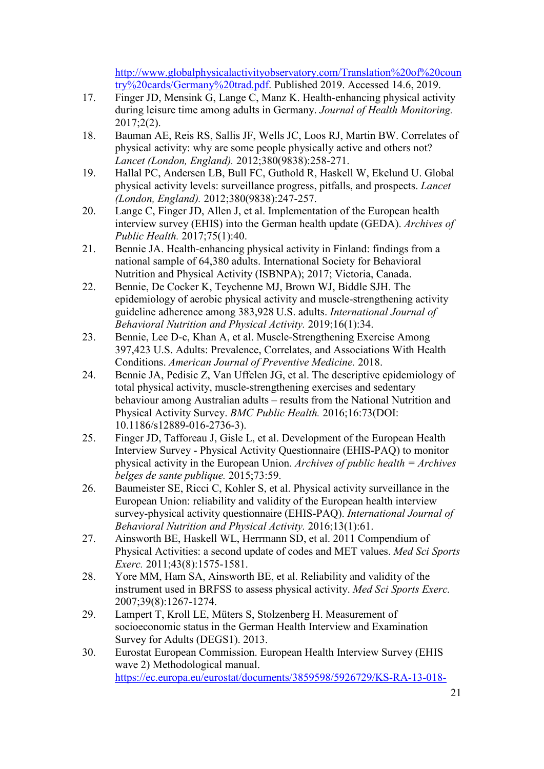[http://www.globalphysicalactivityobservatory.com/Translation%20of%20coun](http://www.globalphysicalactivityobservatory.com/Translation%20of%20country%20cards/Germany%20trad.pdf) [try%20cards/Germany%20trad.pdf.](http://www.globalphysicalactivityobservatory.com/Translation%20of%20country%20cards/Germany%20trad.pdf) Published 2019. Accessed 14.6, 2019.

- 17. Finger JD, Mensink G, Lange C, Manz K. Health-enhancing physical activity during leisure time among adults in Germany. *Journal of Health Monitoring.*  2017;2(2).
- 18. Bauman AE, Reis RS, Sallis JF, Wells JC, Loos RJ, Martin BW. Correlates of physical activity: why are some people physically active and others not? *Lancet (London, England).* 2012;380(9838):258-271.
- 19. Hallal PC, Andersen LB, Bull FC, Guthold R, Haskell W, Ekelund U. Global physical activity levels: surveillance progress, pitfalls, and prospects. *Lancet (London, England).* 2012;380(9838):247-257.
- 20. Lange C, Finger JD, Allen J, et al. Implementation of the European health interview survey (EHIS) into the German health update (GEDA). *Archives of Public Health.* 2017;75(1):40.
- 21. Bennie JA. Health-enhancing physical activity in Finland: findings from a national sample of 64,380 adults. International Society for Behavioral Nutrition and Physical Activity (ISBNPA); 2017; Victoria, Canada.
- 22. Bennie, De Cocker K, Teychenne MJ, Brown WJ, Biddle SJH. The epidemiology of aerobic physical activity and muscle-strengthening activity guideline adherence among 383,928 U.S. adults. *International Journal of Behavioral Nutrition and Physical Activity.* 2019;16(1):34.
- 23. Bennie, Lee D-c, Khan A, et al. Muscle-Strengthening Exercise Among 397,423 U.S. Adults: Prevalence, Correlates, and Associations With Health Conditions. *American Journal of Preventive Medicine.* 2018.
- 24. Bennie JA, Pedisic Z, Van Uffelen JG, et al. The descriptive epidemiology of total physical activity, muscle-strengthening exercises and sedentary behaviour among Australian adults – results from the National Nutrition and Physical Activity Survey. *BMC Public Health.* 2016;16:73(DOI: 10.1186/s12889-016-2736-3).
- 25. Finger JD, Tafforeau J, Gisle L, et al. Development of the European Health Interview Survey - Physical Activity Questionnaire (EHIS-PAQ) to monitor physical activity in the European Union. *Archives of public health = Archives belges de sante publique.* 2015;73:59.
- 26. Baumeister SE, Ricci C, Kohler S, et al. Physical activity surveillance in the European Union: reliability and validity of the European health interview survey-physical activity questionnaire (EHIS-PAQ). *International Journal of Behavioral Nutrition and Physical Activity.* 2016;13(1):61.
- 27. Ainsworth BE, Haskell WL, Herrmann SD, et al. 2011 Compendium of Physical Activities: a second update of codes and MET values. *Med Sci Sports Exerc.* 2011;43(8):1575-1581.
- 28. Yore MM, Ham SA, Ainsworth BE, et al. Reliability and validity of the instrument used in BRFSS to assess physical activity. *Med Sci Sports Exerc.*  2007;39(8):1267-1274.
- 29. Lampert T, Kroll LE, Müters S, Stolzenberg H. Measurement of socioeconomic status in the German Health Interview and Examination Survey for Adults (DEGS1). 2013.
- 30. Eurostat European Commission. European Health Interview Survey (EHIS wave 2) Methodological manual. [https://ec.europa.eu/eurostat/documents/3859598/5926729/KS-RA-13-018-](https://ec.europa.eu/eurostat/documents/3859598/5926729/KS-RA-13-018-EN.PDF/26c7ea80-01d8-420e-bdc6-e9d5f6578e7c)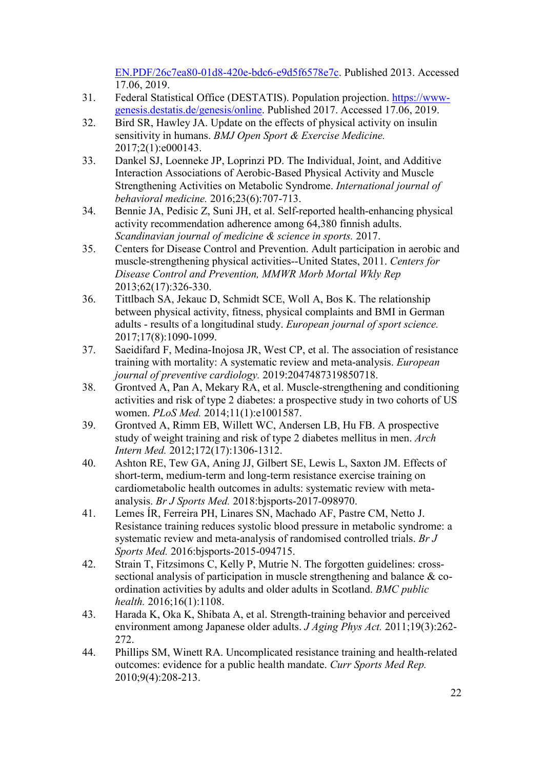[EN.PDF/26c7ea80-01d8-420e-bdc6-e9d5f6578e7c.](https://ec.europa.eu/eurostat/documents/3859598/5926729/KS-RA-13-018-EN.PDF/26c7ea80-01d8-420e-bdc6-e9d5f6578e7c) Published 2013. Accessed 17.06, 2019.

- 31. Federal Statistical Office (DESTATIS). Population projection. [https://www](https://www-genesis.destatis.de/genesis/online)[genesis.destatis.de/genesis/online.](https://www-genesis.destatis.de/genesis/online) Published 2017. Accessed 17.06, 2019.
- 32. Bird SR, Hawley JA. Update on the effects of physical activity on insulin sensitivity in humans. *BMJ Open Sport & Exercise Medicine.*  2017;2(1):e000143.
- 33. Dankel SJ, Loenneke JP, Loprinzi PD. The Individual, Joint, and Additive Interaction Associations of Aerobic-Based Physical Activity and Muscle Strengthening Activities on Metabolic Syndrome. *International journal of behavioral medicine.* 2016;23(6):707-713.
- 34. Bennie JA, Pedisic Z, Suni JH, et al. Self-reported health-enhancing physical activity recommendation adherence among 64,380 finnish adults. *Scandinavian journal of medicine & science in sports.* 2017.
- 35. Centers for Disease Control and Prevention. Adult participation in aerobic and muscle-strengthening physical activities--United States, 2011. *Centers for Disease Control and Prevention, MMWR Morb Mortal Wkly Rep*  2013;62(17):326-330.
- 36. Tittlbach SA, Jekauc D, Schmidt SCE, Woll A, Bos K. The relationship between physical activity, fitness, physical complaints and BMI in German adults - results of a longitudinal study. *European journal of sport science.*  2017;17(8):1090-1099.
- 37. Saeidifard F, Medina-Inojosa JR, West CP, et al. The association of resistance training with mortality: A systematic review and meta-analysis. *European journal of preventive cardiology.* 2019:2047487319850718.
- 38. Grontved A, Pan A, Mekary RA, et al. Muscle-strengthening and conditioning activities and risk of type 2 diabetes: a prospective study in two cohorts of US women. *PLoS Med.* 2014;11(1):e1001587.
- 39. Grontved A, Rimm EB, Willett WC, Andersen LB, Hu FB. A prospective study of weight training and risk of type 2 diabetes mellitus in men. *Arch Intern Med.* 2012;172(17):1306-1312.
- 40. Ashton RE, Tew GA, Aning JJ, Gilbert SE, Lewis L, Saxton JM. Effects of short-term, medium-term and long-term resistance exercise training on cardiometabolic health outcomes in adults: systematic review with metaanalysis. *Br J Sports Med.* 2018:bjsports-2017-098970.
- 41. Lemes ÍR, Ferreira PH, Linares SN, Machado AF, Pastre CM, Netto J. Resistance training reduces systolic blood pressure in metabolic syndrome: a systematic review and meta-analysis of randomised controlled trials. *Br J Sports Med.* 2016:bjsports-2015-094715.
- 42. Strain T, Fitzsimons C, Kelly P, Mutrie N. The forgotten guidelines: crosssectional analysis of participation in muscle strengthening and balance & coordination activities by adults and older adults in Scotland. *BMC public health.* 2016;16(1):1108.
- 43. Harada K, Oka K, Shibata A, et al. Strength-training behavior and perceived environment among Japanese older adults. *J Aging Phys Act.* 2011;19(3):262- 272.
- 44. Phillips SM, Winett RA. Uncomplicated resistance training and health-related outcomes: evidence for a public health mandate. *Curr Sports Med Rep.*  2010;9(4):208-213.